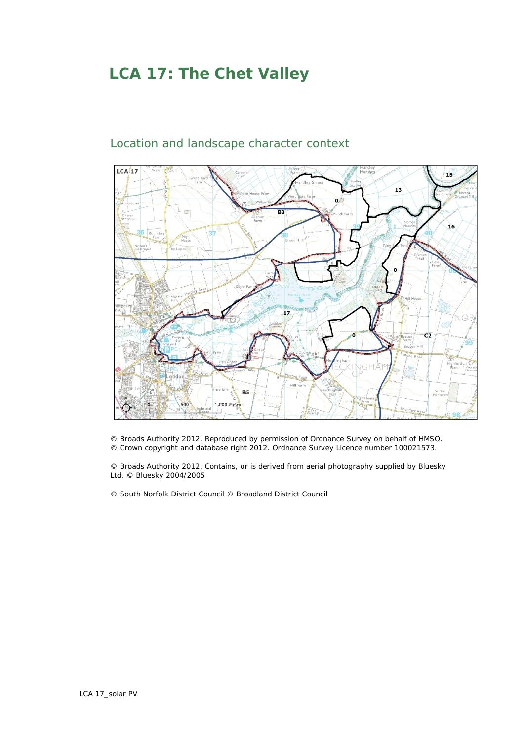## **LCA 17: The Chet Valley**



## Location and landscape character context

© Broads Authority 2012. Reproduced by permission of Ordnance Survey on behalf of HMSO. © Crown copyright and database right 2012. Ordnance Survey Licence number 100021573.

© Broads Authority 2012. Contains, or is derived from aerial photography supplied by Bluesky Ltd. © Bluesky 2004/2005

© South Norfolk District Council © Broadland District Council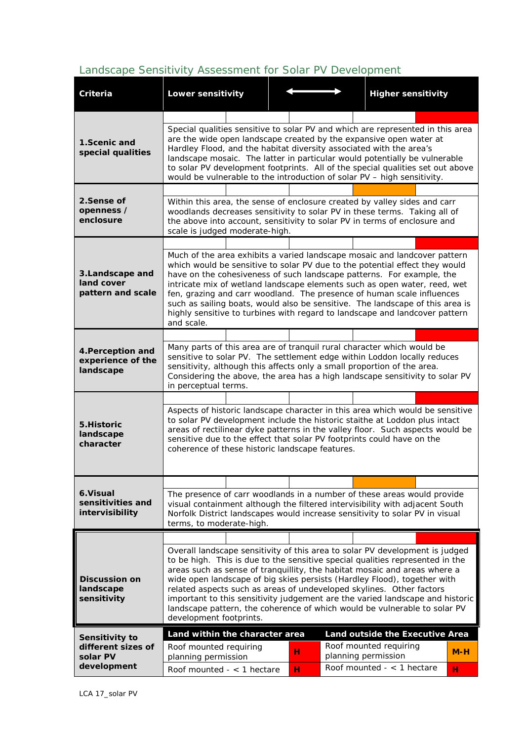## *Landscape Sensitivity Assessment for Solar PV Development*

| Criteria                                            | Lower sensitivity                                                                                                                                                                                                                                                                                                                                                                                                                                                                                                                                                                       |  |  |   |  | <b>Higher sensitivity</b>                     |  |       |  |  |
|-----------------------------------------------------|-----------------------------------------------------------------------------------------------------------------------------------------------------------------------------------------------------------------------------------------------------------------------------------------------------------------------------------------------------------------------------------------------------------------------------------------------------------------------------------------------------------------------------------------------------------------------------------------|--|--|---|--|-----------------------------------------------|--|-------|--|--|
|                                                     |                                                                                                                                                                                                                                                                                                                                                                                                                                                                                                                                                                                         |  |  |   |  |                                               |  |       |  |  |
| 1. Scenic and<br>special qualities                  | Special qualities sensitive to solar PV and which are represented in this area<br>are the wide open landscape created by the expansive open water at<br>Hardley Flood, and the habitat diversity associated with the area's<br>landscape mosaic. The latter in particular would potentially be vulnerable<br>to solar PV development footprints. All of the special qualities set out above<br>would be vulnerable to the introduction of solar PV - high sensitivity.                                                                                                                  |  |  |   |  |                                               |  |       |  |  |
| 2.Sense of<br>openness /<br>enclosure               | Within this area, the sense of enclosure created by valley sides and carr<br>woodlands decreases sensitivity to solar PV in these terms. Taking all of<br>the above into account, sensitivity to solar PV in terms of enclosure and<br>scale is judged moderate-high.                                                                                                                                                                                                                                                                                                                   |  |  |   |  |                                               |  |       |  |  |
|                                                     |                                                                                                                                                                                                                                                                                                                                                                                                                                                                                                                                                                                         |  |  |   |  |                                               |  |       |  |  |
| 3. Landscape and<br>land cover<br>pattern and scale | Much of the area exhibits a varied landscape mosaic and landcover pattern<br>which would be sensitive to solar PV due to the potential effect they would<br>have on the cohesiveness of such landscape patterns. For example, the<br>intricate mix of wetland landscape elements such as open water, reed, wet<br>fen, grazing and carr woodland. The presence of human scale influences<br>such as sailing boats, would also be sensitive. The landscape of this area is<br>highly sensitive to turbines with regard to landscape and landcover pattern<br>and scale.                  |  |  |   |  |                                               |  |       |  |  |
|                                                     |                                                                                                                                                                                                                                                                                                                                                                                                                                                                                                                                                                                         |  |  |   |  |                                               |  |       |  |  |
| 4. Perception and<br>experience of the<br>landscape | Many parts of this area are of tranquil rural character which would be<br>sensitive to solar PV. The settlement edge within Loddon locally reduces<br>sensitivity, although this affects only a small proportion of the area.<br>Considering the above, the area has a high landscape sensitivity to solar PV<br>in perceptual terms.                                                                                                                                                                                                                                                   |  |  |   |  |                                               |  |       |  |  |
|                                                     |                                                                                                                                                                                                                                                                                                                                                                                                                                                                                                                                                                                         |  |  |   |  |                                               |  |       |  |  |
| 5. Historic<br>landscape<br>character               | Aspects of historic landscape character in this area which would be sensitive<br>to solar PV development include the historic staithe at Loddon plus intact<br>areas of rectilinear dyke patterns in the valley floor. Such aspects would be<br>sensitive due to the effect that solar PV footprints could have on the<br>coherence of these historic landscape features.                                                                                                                                                                                                               |  |  |   |  |                                               |  |       |  |  |
|                                                     |                                                                                                                                                                                                                                                                                                                                                                                                                                                                                                                                                                                         |  |  |   |  |                                               |  |       |  |  |
| 6.Visual<br>sensitivities and<br>intervisibility    | The presence of carr woodlands in a number of these areas would provide<br>visual containment although the filtered intervisibility with adjacent South<br>Norfolk District landscapes would increase sensitivity to solar PV in visual<br>terms, to moderate-high.                                                                                                                                                                                                                                                                                                                     |  |  |   |  |                                               |  |       |  |  |
|                                                     |                                                                                                                                                                                                                                                                                                                                                                                                                                                                                                                                                                                         |  |  |   |  |                                               |  |       |  |  |
| <b>Discussion on</b><br>landscape<br>sensitivity    | Overall landscape sensitivity of this area to solar PV development is judged<br>to be high. This is due to the sensitive special qualities represented in the<br>areas such as sense of tranquillity, the habitat mosaic and areas where a<br>wide open landscape of big skies persists (Hardley Flood), together with<br>related aspects such as areas of undeveloped skylines. Other factors<br>important to this sensitivity judgement are the varied landscape and historic<br>landscape pattern, the coherence of which would be vulnerable to solar PV<br>development footprints. |  |  |   |  |                                               |  |       |  |  |
| Sensitivity to                                      | Land outside the Executive Area<br>Land within the character area                                                                                                                                                                                                                                                                                                                                                                                                                                                                                                                       |  |  |   |  |                                               |  |       |  |  |
| different sizes of<br>solar PV<br>development       | Roof mounted requiring<br>planning permission                                                                                                                                                                                                                                                                                                                                                                                                                                                                                                                                           |  |  | н |  | Roof mounted requiring<br>planning permission |  | $M-H$ |  |  |
|                                                     | Roof mounted $-$ < 1 hectare                                                                                                                                                                                                                                                                                                                                                                                                                                                                                                                                                            |  |  | н |  | Roof mounted $-$ < 1 hectare                  |  | н     |  |  |